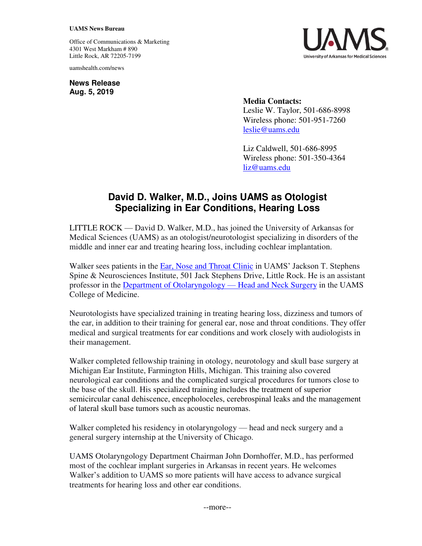## **UAMS News Bureau**

Office of Communications & Marketing 4301 West Markham # 890 Little Rock, AR 72205-7199

uamshealth.com/news

**News Release Aug. 5, 2019**



**Media Contacts:**  Leslie W. Taylor, 501-686-8998 Wireless phone: 501-951-7260 [leslie@uams.edu](mailto:leslie@uams.edu)

Liz Caldwell, 501-686-8995 Wireless phone: 501-350-4364 [liz@uams.edu](mailto:liz@uams.edu)

## **David D. Walker, M.D., Joins UAMS as Otologist Specializing in Ear Conditions, Hearing Loss**

LITTLE ROCK — David D. Walker, M.D., has joined the University of Arkansas for Medical Sciences (UAMS) as an otologist/neurotologist specializing in disorders of the middle and inner ear and treating hearing loss, including cochlear implantation.

Walker sees patients in the [Ear, Nose and Throat Clinic](https://uamshealth.com/medicalservices/ent/entclinic/) in UAMS' Jackson T. Stephens Spine & Neurosciences Institute, 501 Jack Stephens Drive, Little Rock. He is an assistant professor in the [Department of Otolaryngology](https://otolaryngology.uams.edu/) — Head and Neck Surgery in the UAMS College of Medicine.

Neurotologists have specialized training in treating hearing loss, dizziness and tumors of the ear, in addition to their training for general ear, nose and throat conditions. They offer medical and surgical treatments for ear conditions and work closely with audiologists in their management.

Walker completed fellowship training in otology, neurotology and skull base surgery at Michigan Ear Institute, Farmington Hills, Michigan. This training also covered neurological ear conditions and the complicated surgical procedures for tumors close to the base of the skull. His specialized training includes the treatment of superior semicircular canal dehiscence, encepholoceles, cerebrospinal leaks and the management of lateral skull base tumors such as acoustic neuromas.

Walker completed his residency in otolaryngology — head and neck surgery and a general surgery internship at the University of Chicago.

UAMS Otolaryngology Department Chairman John Dornhoffer, M.D., has performed most of the cochlear implant surgeries in Arkansas in recent years. He welcomes Walker's addition to UAMS so more patients will have access to advance surgical treatments for hearing loss and other ear conditions.